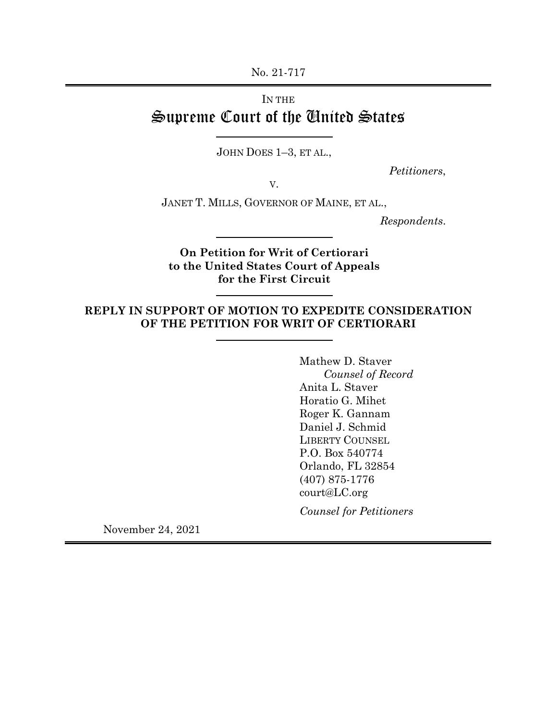No. 21-717

# IN THE Supreme Court of the United States

JOHN DOES 1–3, ET AL.,

*Petitioners*,

V.

JANET T. MILLS, GOVERNOR OF MAINE, ET AL.,

*Respondents*.

**On Petition for Writ of Certiorari to the United States Court of Appeals for the First Circuit**

# **REPLY IN SUPPORT OF MOTION TO EXPEDITE CONSIDERATION OF THE PETITION FOR WRIT OF CERTIORARI**

Mathew D. Staver *Counsel of Record* Anita L. Staver Horatio G. Mihet Roger K. Gannam Daniel J. Schmid LIBERTY COUNSEL P.O. Box 540774 Orlando, FL 32854 (407) 875-1776 court@LC.org

*Counsel for Petitioners*

November 24, 2021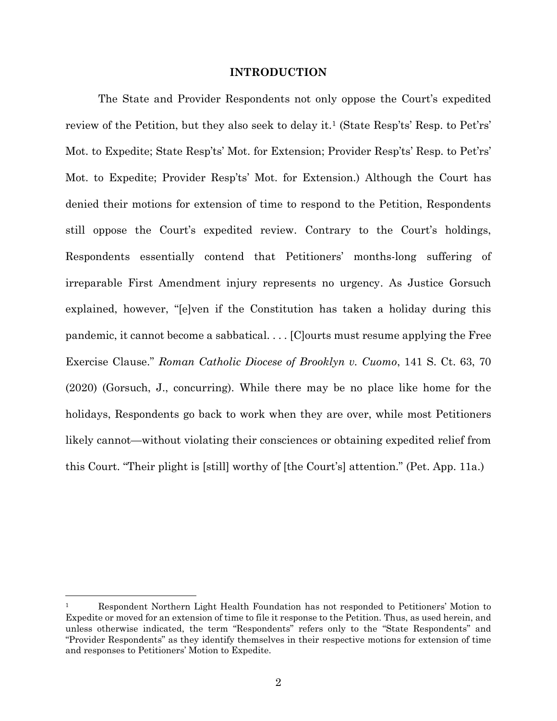### **INTRODUCTION**

The State and Provider Respondents not only oppose the Court's expedited review of the Petition, but they also seek to delay it.<sup>1</sup> (State Resp'ts' Resp. to Pet'rs' Mot. to Expedite; State Resp'ts' Mot. for Extension; Provider Resp'ts' Resp. to Pet'rs' Mot. to Expedite; Provider Resp'ts' Mot. for Extension.) Although the Court has denied their motions for extension of time to respond to the Petition, Respondents still oppose the Court's expedited review. Contrary to the Court's holdings, Respondents essentially contend that Petitioners' months-long suffering of irreparable First Amendment injury represents no urgency. As Justice Gorsuch explained, however, "[e]ven if the Constitution has taken a holiday during this pandemic, it cannot become a sabbatical. . . . [C]ourts must resume applying the Free Exercise Clause." *Roman Catholic Diocese of Brooklyn v. Cuomo*, 141 S. Ct. 63, 70 (2020) (Gorsuch, J., concurring). While there may be no place like home for the holidays, Respondents go back to work when they are over, while most Petitioners likely cannot—without violating their consciences or obtaining expedited relief from this Court. "Their plight is [still] worthy of [the Court's] attention." (Pet. App. 11a.)

<sup>1</sup> Respondent Northern Light Health Foundation has not responded to Petitioners' Motion to Expedite or moved for an extension of time to file it response to the Petition. Thus, as used herein, and unless otherwise indicated, the term "Respondents" refers only to the "State Respondents" and "Provider Respondents" as they identify themselves in their respective motions for extension of time and responses to Petitioners' Motion to Expedite.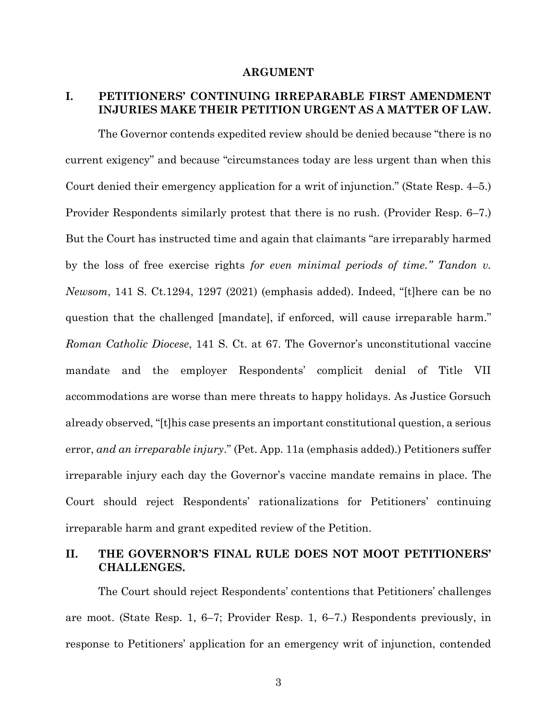### **ARGUMENT**

# **I. PETITIONERS' CONTINUING IRREPARABLE FIRST AMENDMENT INJURIES MAKE THEIR PETITION URGENT AS A MATTER OF LAW.**

The Governor contends expedited review should be denied because "there is no current exigency" and because "circumstances today are less urgent than when this Court denied their emergency application for a writ of injunction." (State Resp. 4–5.) Provider Respondents similarly protest that there is no rush. (Provider Resp. 6–7.) But the Court has instructed time and again that claimants "are irreparably harmed by the loss of free exercise rights *for even minimal periods of time." Tandon v. Newsom*, 141 S. Ct.1294, 1297 (2021) (emphasis added). Indeed, "[t]here can be no question that the challenged [mandate], if enforced, will cause irreparable harm." *Roman Catholic Diocese*, 141 S. Ct. at 67. The Governor's unconstitutional vaccine mandate and the employer Respondents' complicit denial of Title VII accommodations are worse than mere threats to happy holidays. As Justice Gorsuch already observed, "[t]his case presents an important constitutional question, a serious error, *and an irreparable injury*." (Pet. App. 11a (emphasis added).) Petitioners suffer irreparable injury each day the Governor's vaccine mandate remains in place. The Court should reject Respondents' rationalizations for Petitioners' continuing irreparable harm and grant expedited review of the Petition.

## **II. THE GOVERNOR'S FINAL RULE DOES NOT MOOT PETITIONERS' CHALLENGES.**

The Court should reject Respondents' contentions that Petitioners' challenges are moot. (State Resp. 1, 6–7; Provider Resp. 1, 6–7.) Respondents previously, in response to Petitioners' application for an emergency writ of injunction, contended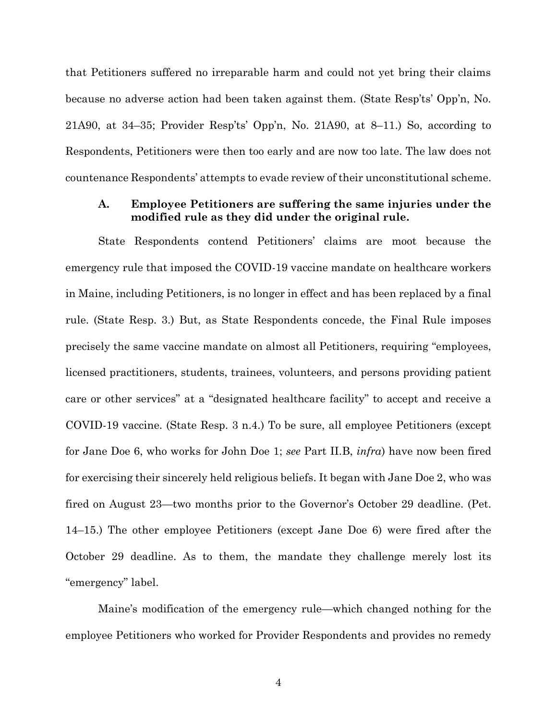that Petitioners suffered no irreparable harm and could not yet bring their claims because no adverse action had been taken against them. (State Resp'ts' Opp'n, No. 21A90, at 34–35; Provider Resp'ts' Opp'n, No. 21A90, at 8–11.) So, according to Respondents, Petitioners were then too early and are now too late. The law does not countenance Respondents' attempts to evade review of their unconstitutional scheme.

## **A. Employee Petitioners are suffering the same injuries under the modified rule as they did under the original rule.**

State Respondents contend Petitioners' claims are moot because the emergency rule that imposed the COVID-19 vaccine mandate on healthcare workers in Maine, including Petitioners, is no longer in effect and has been replaced by a final rule. (State Resp. 3.) But, as State Respondents concede, the Final Rule imposes precisely the same vaccine mandate on almost all Petitioners, requiring "employees, licensed practitioners, students, trainees, volunteers, and persons providing patient care or other services" at a "designated healthcare facility" to accept and receive a COVID-19 vaccine. (State Resp. 3 n.4.) To be sure, all employee Petitioners (except for Jane Doe 6, who works for John Doe 1; *see* Part II.B, *infra*) have now been fired for exercising their sincerely held religious beliefs. It began with Jane Doe 2, who was fired on August 23—two months prior to the Governor's October 29 deadline. (Pet. 14–15.) The other employee Petitioners (except Jane Doe 6) were fired after the October 29 deadline. As to them, the mandate they challenge merely lost its "emergency" label.

Maine's modification of the emergency rule—which changed nothing for the employee Petitioners who worked for Provider Respondents and provides no remedy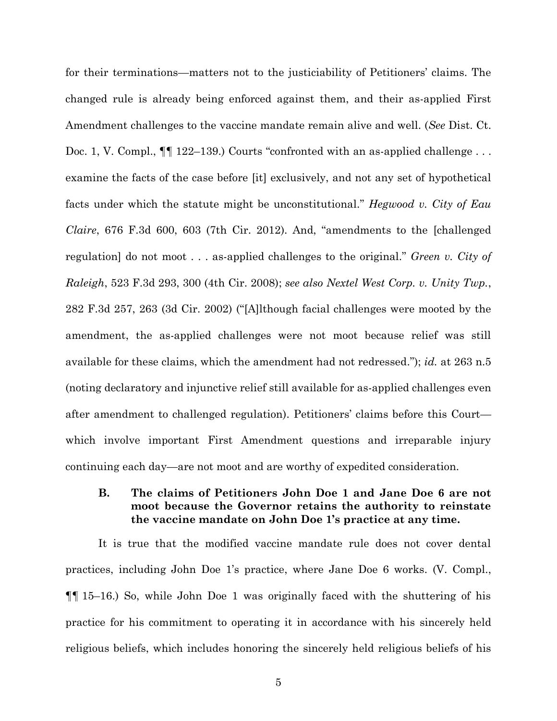for their terminations—matters not to the justiciability of Petitioners' claims. The changed rule is already being enforced against them, and their as-applied First Amendment challenges to the vaccine mandate remain alive and well. (*See* Dist. Ct. Doc. 1, V. Compl.,  $\P\P$  122–139.) Courts "confronted with an as-applied challenge... examine the facts of the case before [it] exclusively, and not any set of hypothetical facts under which the statute might be unconstitutional." *Hegwood v. City of Eau Claire*, 676 F.3d 600, 603 (7th Cir. 2012). And, "amendments to the [challenged regulation] do not moot . . . as-applied challenges to the original." *Green v. City of Raleigh*, 523 F.3d 293, 300 (4th Cir. 2008); *see also Nextel West Corp. v. Unity Twp.*, 282 F.3d 257, 263 (3d Cir. 2002) ("[A]lthough facial challenges were mooted by the amendment, the as-applied challenges were not moot because relief was still available for these claims, which the amendment had not redressed."); *id.* at 263 n.5 (noting declaratory and injunctive relief still available for as-applied challenges even after amendment to challenged regulation). Petitioners' claims before this Court which involve important First Amendment questions and irreparable injury continuing each day—are not moot and are worthy of expedited consideration.

# **B. The claims of Petitioners John Doe 1 and Jane Doe 6 are not moot because the Governor retains the authority to reinstate the vaccine mandate on John Doe 1's practice at any time.**

It is true that the modified vaccine mandate rule does not cover dental practices, including John Doe 1's practice, where Jane Doe 6 works. (V. Compl., ¶¶ 15–16.) So, while John Doe 1 was originally faced with the shuttering of his practice for his commitment to operating it in accordance with his sincerely held religious beliefs, which includes honoring the sincerely held religious beliefs of his

5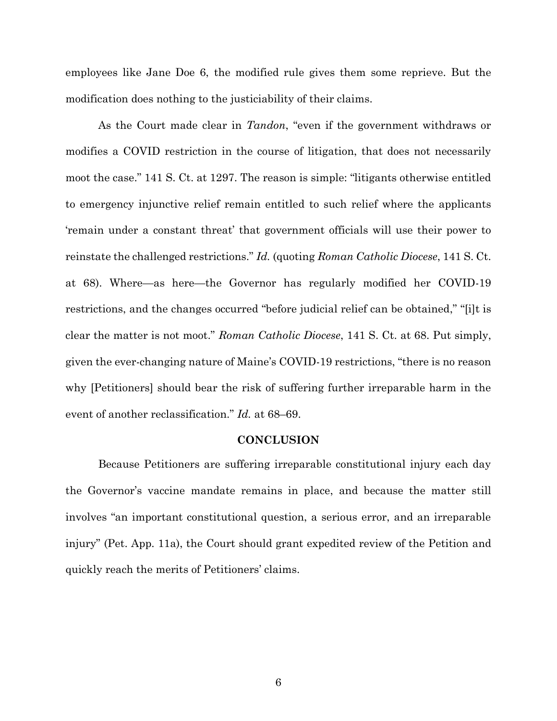employees like Jane Doe 6, the modified rule gives them some reprieve. But the modification does nothing to the justiciability of their claims.

As the Court made clear in *Tandon*, "even if the government withdraws or modifies a COVID restriction in the course of litigation, that does not necessarily moot the case." 141 S. Ct. at 1297. The reason is simple: "litigants otherwise entitled to emergency injunctive relief remain entitled to such relief where the applicants 'remain under a constant threat' that government officials will use their power to reinstate the challenged restrictions." *Id.* (quoting *Roman Catholic Diocese*, 141 S. Ct. at 68). Where—as here—the Governor has regularly modified her COVID-19 restrictions, and the changes occurred "before judicial relief can be obtained," "[i]t is clear the matter is not moot." *Roman Catholic Diocese*, 141 S. Ct. at 68. Put simply, given the ever-changing nature of Maine's COVID-19 restrictions, "there is no reason why [Petitioners] should bear the risk of suffering further irreparable harm in the event of another reclassification." *Id.* at 68–69.

### **CONCLUSION**

Because Petitioners are suffering irreparable constitutional injury each day the Governor's vaccine mandate remains in place, and because the matter still involves "an important constitutional question, a serious error, and an irreparable injury" (Pet. App. 11a), the Court should grant expedited review of the Petition and quickly reach the merits of Petitioners' claims.